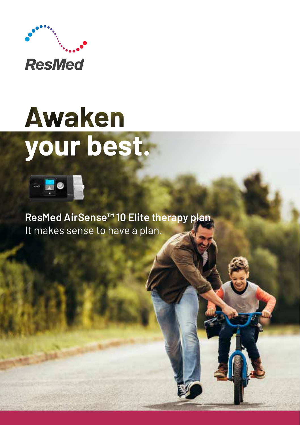

# **Awaken** your best.



**ResMed AirSense™ 10 Elite therapy plan** It makes sense to have a plan.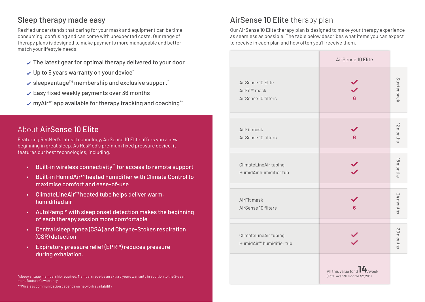### Sleep therapy made easy

ResMed understands that caring for your mask and equipment can be timeconsuming, confusing and can come with unexpected costs. Our range of therapy plans is designed to make payments more manageable and better match your lifestyle needs.

- $\vee$  The latest gear for optimal therapy delivered to your door
- $\vee$  Up to 5 years warranty on your device\*
- sleepvantage™ membership and exclusive support\*
- $\checkmark$  Easy fixed weekly payments over 36 months
- myAir™ app available for therapy tracking and coaching\*\*

#### About AirSense 10 Elite

Featuring ResMed's latest technology, AirSense 10 Elite offers you a new beginning in great sleep. As ResMed's premium fixed pressure device, it features our best technologies, including:

- Built-in wireless connectivity\*\* for access to remote support
- Built-in HumidAir™ heated humidifier with Climate Control to maximise comfort and ease-of-use
- ClimateLineAir™ heated tube helps deliver warm, humidified air
- AutoRamp™ with sleep onset detection makes the beginning of each therapy session more comfortable
- Central sleep apnea (CSA) and Cheyne-Stokes respiration (CSR) detection
- Expiratory pressure relief (EPR™) reduces pressure during exhalation.

\*\*Wireless communication depends on network availability

#### AirSense 10 Elite therapy plan

Our AirSense 10 Elite therapy plan is designed to make your therapy experience as seamless as possible. The table below describes what items you can expect to receive in each plan and how often you'll receive them.

|                                                                      | AirSense 10 Elite                                                             |              |
|----------------------------------------------------------------------|-------------------------------------------------------------------------------|--------------|
| AirSense 10 Elite<br>AirFit <sup>™</sup> mask<br>AirSense 10 filters | 6                                                                             | Starter pack |
| AirFit mask<br>AirSense 10 filters                                   | 6                                                                             | 12 months    |
| ClimateLineAir tubing<br>HumidAir humidifier tub                     |                                                                               | 18 months    |
| AirFit mask<br>AirSense 10 filters                                   | 6                                                                             | 24 months    |
| ClimateLineAir tubing<br>HumidAir <sup>™</sup> humidifier tub        |                                                                               | 30 months    |
|                                                                      | All this value for $\S$ <sup>14</sup> /week<br>(Total over 36 months \$2,283) |              |

<sup>\*</sup>sleepvantage membership required. Members receive an extra 3 years warranty in addition to the 2-year manufacturer's warranty.